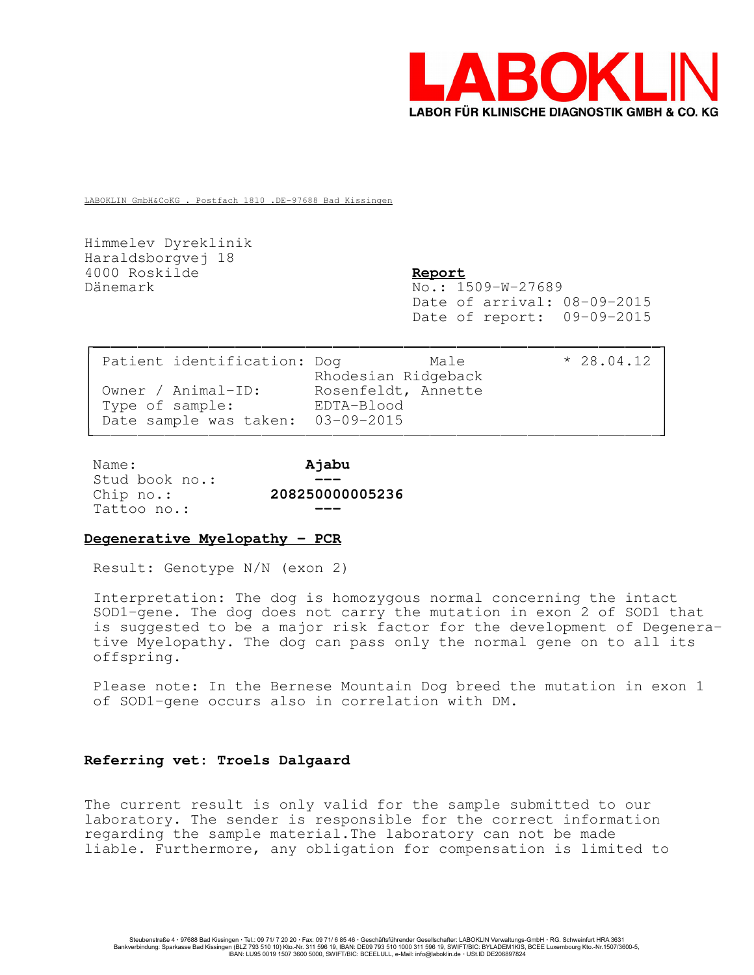

LABOKLIN GmbH&CoKG . Postfach 1810 .DE-97688 Bad Kissingen

Himmelev Dyreklinik Haraldsborgvej 18 4000 Roskilde Report Dänemark No.: 1509-W-27689

Date of arrival: 08-09-2015 Date of report: 09-09-2015

| Patient identification: Dog                                                | Male<br>Rhodesian Ridgeback       | $* 28.04.12$ |  |
|----------------------------------------------------------------------------|-----------------------------------|--------------|--|
| Owner / Animal-ID:<br>Type of sample:<br>Date sample was taken: 03-09-2015 | Rosenfeldt, Annette<br>EDTA-Blood |              |  |

| Name:          | Ajabu           |
|----------------|-----------------|
| Stud book no.: |                 |
| Chip $no.:$    | 208250000005236 |
| Tattoo no.:    |                 |

## Degenerative Myelopathy - PCR

Result: Genotype N/N (exon 2)

Interpretation: The dog is homozygous normal concerning the intact SOD1-gene. The dog does not carry the mutation in exon 2 of SOD1 that is suggested to be a major risk factor for the development of Degenerative Myelopathy. The dog can pass only the normal gene on to all its offspring.

Please note: In the Bernese Mountain Dog breed the mutation in exon 1 of SOD1-gene occurs also in correlation with DM.

## Referring vet: Troels Dalgaard

The current result is only valid for the sample submitted to our laboratory. The sender is responsible for the correct information regarding the sample material.The laboratory can not be made liable. Furthermore, any obligation for compensation is limited to